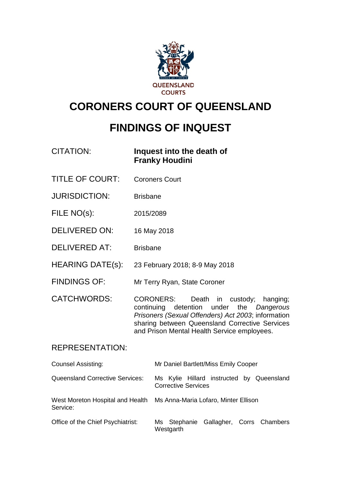

# **CORONERS COURT OF QUEENSLAND**

# **FINDINGS OF INQUEST**

#### CITATION: **Inquest into the death of Franky Houdini**

- TITLE OF COURT: Coroners Court
- JURISDICTION: Brisbane
- FILE NO(s): 2015/2089
- DELIVERED ON: 16 May 2018
- DELIVERED AT: Brisbane
- HEARING DATE(s): 23 February 2018; 8-9 May 2018
- FINDINGS OF: Mr Terry Ryan, State Coroner
- CATCHWORDS: CORONERS: Death in custody; hanging;<br>continuing detention under the *Dangerous* continuing detention *Prisoners (Sexual Offenders) Act 2003*; information sharing between Queensland Corrective Services and Prison Mental Health Service employees.

#### REPRESENTATION:

| <b>Counsel Assisting:</b>              | Mr Daniel Bartlett/Miss Emily Cooper                                    |
|----------------------------------------|-------------------------------------------------------------------------|
| <b>Queensland Corrective Services:</b> | Ms Kylie Hillard instructed by Queensland<br><b>Corrective Services</b> |
| Service:                               | West Moreton Hospital and Health Ms Anna-Maria Lofaro, Minter Ellison   |
| Office of the Chief Psychiatrist:      | Ms Stephanie Gallagher, Corrs Chambers<br>Westgarth                     |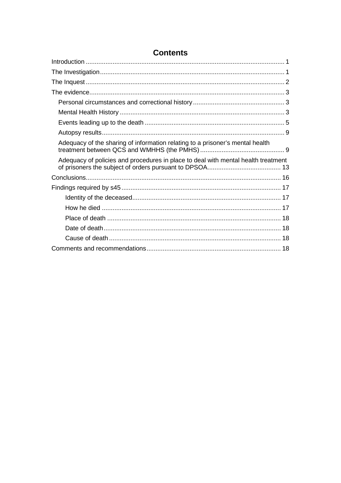| Adequacy of the sharing of information relating to a prisoner's mental health     |
|-----------------------------------------------------------------------------------|
|                                                                                   |
| Adequacy of policies and procedures in place to deal with mental health treatment |
|                                                                                   |
|                                                                                   |
|                                                                                   |
|                                                                                   |
|                                                                                   |
|                                                                                   |
|                                                                                   |

### **Contents**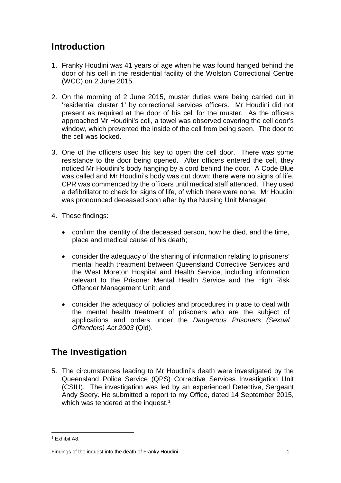## <span id="page-2-0"></span>**Introduction**

- 1. Franky Houdini was 41 years of age when he was found hanged behind the door of his cell in the residential facility of the Wolston Correctional Centre (WCC) on 2 June 2015.
- 2. On the morning of 2 June 2015, muster duties were being carried out in 'residential cluster 1' by correctional services officers. Mr Houdini did not present as required at the door of his cell for the muster. As the officers approached Mr Houdini's cell, a towel was observed covering the cell door's window, which prevented the inside of the cell from being seen. The door to the cell was locked.
- 3. One of the officers used his key to open the cell door. There was some resistance to the door being opened. After officers entered the cell, they noticed Mr Houdini's body hanging by a cord behind the door. A Code Blue was called and Mr Houdini's body was cut down; there were no signs of life. CPR was commenced by the officers until medical staff attended. They used a defibrillator to check for signs of life, of which there were none. Mr Houdini was pronounced deceased soon after by the Nursing Unit Manager.
- 4. These findings:
	- confirm the identity of the deceased person, how he died, and the time, place and medical cause of his death;
	- consider the adequacy of the sharing of information relating to prisoners' mental health treatment between Queensland Corrective Services and the West Moreton Hospital and Health Service, including information relevant to the Prisoner Mental Health Service and the High Risk Offender Management Unit; and
	- consider the adequacy of policies and procedures in place to deal with the mental health treatment of prisoners who are the subject of applications and orders under the *Dangerous Prisoners (Sexual Offenders) Act 2003* (Qld).

## <span id="page-2-1"></span>**The Investigation**

5. The circumstances leading to Mr Houdini's death were investigated by the Queensland Police Service (QPS) Corrective Services Investigation Unit (CSIU). The investigation was led by an experienced Detective, Sergeant Andy Seery. He submitted a report to my Office, dated 14 September 2015, which was tendered at the inquest.<sup>[1](#page-2-2)</sup>

<span id="page-2-2"></span><sup>1</sup> Exhibit A8.

Findings of the inquest into the death of Franky Houdini 1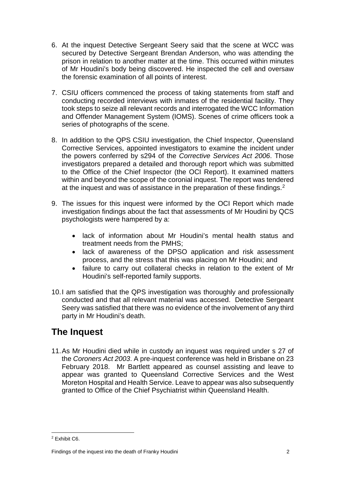- 6. At the inquest Detective Sergeant Seery said that the scene at WCC was secured by Detective Sergeant Brendan Anderson, who was attending the prison in relation to another matter at the time. This occurred within minutes of Mr Houdini's body being discovered. He inspected the cell and oversaw the forensic examination of all points of interest.
- 7. CSIU officers commenced the process of taking statements from staff and conducting recorded interviews with inmates of the residential facility. They took steps to seize all relevant records and interrogated the WCC Information and Offender Management System (IOMS). Scenes of crime officers took a series of photographs of the scene.
- 8. In addition to the QPS CSIU investigation, the Chief Inspector, Queensland Corrective Services, appointed investigators to examine the incident under the powers conferred by s294 of the *Corrective Services Act 2006*. Those investigators prepared a detailed and thorough report which was submitted to the Office of the Chief Inspector (the OCI Report). It examined matters within and beyond the scope of the coronial inquest. The report was tendered at the inquest and was of assistance in the preparation of these findings.<sup>[2](#page-3-1)</sup>
- 9. The issues for this inquest were informed by the OCI Report which made investigation findings about the fact that assessments of Mr Houdini by QCS psychologists were hampered by a:
	- lack of information about Mr Houdini's mental health status and treatment needs from the PMHS;
	- lack of awareness of the DPSO application and risk assessment process, and the stress that this was placing on Mr Houdini; and
	- failure to carry out collateral checks in relation to the extent of Mr Houdini's self-reported family supports.
- 10.I am satisfied that the QPS investigation was thoroughly and professionally conducted and that all relevant material was accessed. Detective Sergeant Seery was satisfied that there was no evidence of the involvement of any third party in Mr Houdini's death.

## <span id="page-3-0"></span>**The Inquest**

11.As Mr Houdini died while in custody an inquest was required under s 27 of the *Coroners Act 2003*. A pre-inquest conference was held in Brisbane on 23 February 2018. Mr Bartlett appeared as counsel assisting and leave to appear was granted to Queensland Corrective Services and the West Moreton Hospital and Health Service. Leave to appear was also subsequently granted to Office of the Chief Psychiatrist within Queensland Health.

<span id="page-3-1"></span><sup>2</sup> Exhibit C6.

Findings of the inquest into the death of Franky Houdini 2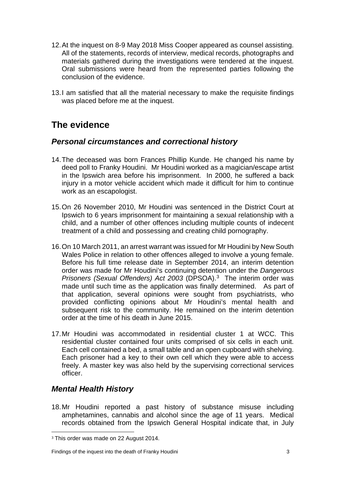- 12.At the inquest on 8-9 May 2018 Miss Cooper appeared as counsel assisting. All of the statements, records of interview, medical records, photographs and materials gathered during the investigations were tendered at the inquest. Oral submissions were heard from the represented parties following the conclusion of the evidence.
- 13.I am satisfied that all the material necessary to make the requisite findings was placed before me at the inquest.

## <span id="page-4-0"></span>**The evidence**

#### <span id="page-4-1"></span>*Personal circumstances and correctional history*

- 14.The deceased was born Frances Phillip Kunde. He changed his name by deed poll to Franky Houdini. Mr Houdini worked as a magician/escape artist in the Ipswich area before his imprisonment. In 2000, he suffered a back injury in a motor vehicle accident which made it difficult for him to continue work as an escapologist.
- 15.On 26 November 2010, Mr Houdini was sentenced in the District Court at Ipswich to 6 years imprisonment for maintaining a sexual relationship with a child, and a number of other offences including multiple counts of indecent treatment of a child and possessing and creating child pornography.
- 16.On 10 March 2011, an arrest warrant was issued for Mr Houdini by New South Wales Police in relation to other offences alleged to involve a young female. Before his full time release date in September 2014, an interim detention order was made for Mr Houdini's continuing detention under the *Dangerous Prisoners (Sexual Offenders) Act 2003* (DPSOA). [3](#page-4-3) The interim order was made until such time as the application was finally determined. As part of that application, several opinions were sought from psychiatrists, who provided conflicting opinions about Mr Houdini's mental health and subsequent risk to the community. He remained on the interim detention order at the time of his death in June 2015.
- 17.Mr Houdini was accommodated in residential cluster 1 at WCC. This residential cluster contained four units comprised of six cells in each unit. Each cell contained a bed, a small table and an open cupboard with shelving. Each prisoner had a key to their own cell which they were able to access freely. A master key was also held by the supervising correctional services officer.

#### <span id="page-4-2"></span>*Mental Health History*

18.Mr Houdini reported a past history of substance misuse including amphetamines, cannabis and alcohol since the age of 11 years. Medical records obtained from the Ipswich General Hospital indicate that, in July

<span id="page-4-3"></span><sup>3</sup> This order was made on 22 August 2014. i<br>I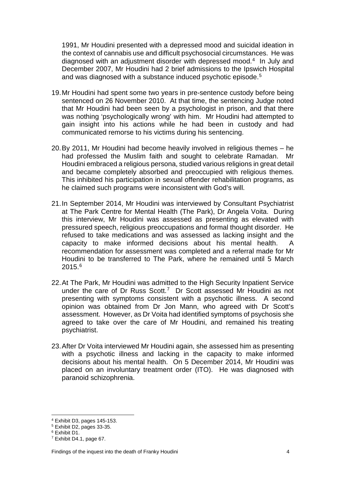1991, Mr Houdini presented with a depressed mood and suicidal ideation in the context of cannabis use and difficult psychosocial circumstances. He was diagnosed with an adjustment disorder with depressed mood.[4](#page-5-0) In July and December 2007, Mr Houdini had 2 brief admissions to the Ipswich Hospital and was diagnosed with a substance induced psychotic episode.<sup>[5](#page-5-1)</sup>

- 19.Mr Houdini had spent some two years in pre-sentence custody before being sentenced on 26 November 2010. At that time, the sentencing Judge noted that Mr Houdini had been seen by a psychologist in prison, and that there was nothing 'psychologically wrong' with him. Mr Houdini had attempted to gain insight into his actions while he had been in custody and had communicated remorse to his victims during his sentencing.
- 20.By 2011, Mr Houdini had become heavily involved in religious themes he had professed the Muslim faith and sought to celebrate Ramadan. Houdini embraced a religious persona, studied various religions in great detail and became completely absorbed and preoccupied with religious themes. This inhibited his participation in sexual offender rehabilitation programs, as he claimed such programs were inconsistent with God's will.
- 21.In September 2014, Mr Houdini was interviewed by Consultant Psychiatrist at The Park Centre for Mental Health (The Park), Dr Angela Voita. During this interview, Mr Houdini was assessed as presenting as elevated with pressured speech, religious preoccupations and formal thought disorder. He refused to take medications and was assessed as lacking insight and the capacity to make informed decisions about his mental health. A recommendation for assessment was completed and a referral made for Mr Houdini to be transferred to The Park, where he remained until 5 March 2015. [6](#page-5-2)
- 22.At The Park, Mr Houdini was admitted to the High Security Inpatient Service under the care of Dr Russ Scott.<sup>7</sup> Dr Scott assessed Mr Houdini as not presenting with symptoms consistent with a psychotic illness. A second opinion was obtained from Dr Jon Mann, who agreed with Dr Scott's assessment. However, as Dr Voita had identified symptoms of psychosis she agreed to take over the care of Mr Houdini, and remained his treating psychiatrist.
- 23.After Dr Voita interviewed Mr Houdini again, she assessed him as presenting with a psychotic illness and lacking in the capacity to make informed decisions about his mental health. On 5 December 2014, Mr Houdini was placed on an involuntary treatment order (ITO). He was diagnosed with paranoid schizophrenia.

<sup>4</sup> Exhibit D3, pages 145-153.  $\overline{\phantom{a}}$ 

<span id="page-5-1"></span><span id="page-5-0"></span><sup>5</sup> Exhibit D2, pages 33-35.

<span id="page-5-2"></span><sup>6</sup> Exhibit D1.

<span id="page-5-3"></span><sup>7</sup> Exhibit D4.1, page 67.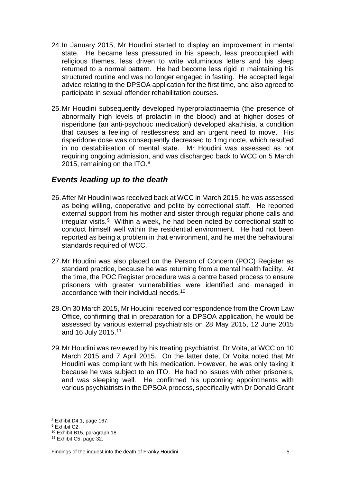- 24.In January 2015, Mr Houdini started to display an improvement in mental state. He became less pressured in his speech, less preoccupied with religious themes, less driven to write voluminous letters and his sleep returned to a normal pattern. He had become less rigid in maintaining his structured routine and was no longer engaged in fasting. He accepted legal advice relating to the DPSOA application for the first time, and also agreed to participate in sexual offender rehabilitation courses.
- 25.Mr Houdini subsequently developed hyperprolactinaemia (the presence of abnormally high levels of prolactin in the blood) and at higher doses of risperidone (an anti-psychotic medication) developed akathisia, a condition that causes a feeling of restlessness and an urgent need to move. His risperidone dose was consequently decreased to 1mg nocte, which resulted in no destabilisation of mental state. Mr Houdini was assessed as not requiring ongoing admission, and was discharged back to WCC on 5 March 2015, remaining on the ITO. $8$

#### <span id="page-6-0"></span>*Events leading up to the death*

- 26.After Mr Houdini was received back at WCC in March 2015, he was assessed as being willing, cooperative and polite by correctional staff. He reported external support from his mother and sister through regular phone calls and  $irregular visits.<sup>9</sup>$  $irregular visits.<sup>9</sup>$  $irregular visits.<sup>9</sup>$  Within a week, he had been noted by correctional staff to conduct himself well within the residential environment. He had not been reported as being a problem in that environment, and he met the behavioural standards required of WCC.
- 27.Mr Houdini was also placed on the Person of Concern (POC) Register as standard practice, because he was returning from a mental health facility. At the time, the POC Register procedure was a centre based process to ensure prisoners with greater vulnerabilities were identified and managed in accordance with their individual needs.[10](#page-6-3)
- 28.On 30 March 2015, Mr Houdini received correspondence from the Crown Law Office, confirming that in preparation for a DPSOA application, he would be assessed by various external psychiatrists on 28 May 2015, 12 June 2015 and 16 July 2015.[11](#page-6-4)
- 29.Mr Houdini was reviewed by his treating psychiatrist, Dr Voita, at WCC on 10 March 2015 and 7 April 2015. On the latter date, Dr Voita noted that Mr Houdini was compliant with his medication. However, he was only taking it because he was subject to an ITO. He had no issues with other prisoners, and was sleeping well. He confirmed his upcoming appointments with various psychiatrists in the DPSOA process, specifically with Dr Donald Grant

<sup>&</sup>lt;sup>8</sup> Exhibit D4.1, page 167.  $\overline{a}$ 

<span id="page-6-2"></span><span id="page-6-1"></span><sup>9</sup> Exhibit C2.

<span id="page-6-4"></span><span id="page-6-3"></span><sup>10</sup> Exhibit B15, paragraph 18. <sup>11</sup> Exhibit C5, page 32.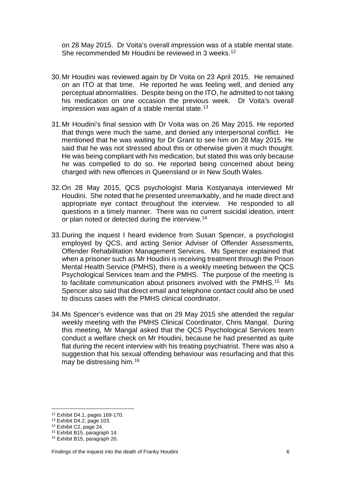on 28 May 2015. Dr Voita's overall impression was of a stable mental state. She recommended Mr Houdini be reviewed in 3 weeks.<sup>[12](#page-7-0)</sup>

- 30.Mr Houdini was reviewed again by Dr Voita on 23 April 2015. He remained on an ITO at that time. He reported he was feeling well, and denied any perceptual abnormalities. Despite being on the ITO, he admitted to not taking his medication on one occasion the previous week. Dr Voita's overall impression was again of a stable mental state.<sup>[13](#page-7-1)</sup>
- 31.Mr Houdini's final session with Dr Voita was on 26 May 2015. He reported that things were much the same, and denied any interpersonal conflict. He mentioned that he was waiting for Dr Grant to see him on 28 May 2015. He said that he was not stressed about this or otherwise given it much thought. He was being compliant with his medication, but stated this was only because he was compelled to do so. He reported being concerned about being charged with new offences in Queensland or in New South Wales.
- 32.On 28 May 2015, QCS psychologist Maria Kostyanaya interviewed Mr Houdini. She noted that he presented unremarkably, and he made direct and appropriate eye contact throughout the interview. He responded to all questions in a timely manner. There was no current suicidal ideation, intent or plan noted or detected during the interview.[14](#page-7-2)
- 33.During the inquest I heard evidence from Susan Spencer, a psychologist employed by QCS, and acting Senior Adviser of Offender Assessments, Offender Rehabilitation Management Services. Ms Spencer explained that when a prisoner such as Mr Houdini is receiving treatment through the Prison Mental Health Service (PMHS), there is a weekly meeting between the QCS Psychological Services team and the PMHS. The purpose of the meeting is to facilitate communication about prisoners involved with the PMHS.<sup>15</sup> Ms Spencer also said that direct email and telephone contact could also be used to discuss cases with the PMHS clinical coordinator.
- 34.Ms Spencer's evidence was that on 29 May 2015 she attended the regular weekly meeting with the PMHS Clinical Coordinator, Chris Mangal. During this meeting, Mr Mangal asked that the QCS Psychological Services team conduct a welfare check on Mr Houdini, because he had presented as quite flat during the recent interview with his treating psychiatrist. There was also a suggestion that his sexual offending behaviour was resurfacing and that this may be distressing him.[16](#page-7-4)

<span id="page-7-0"></span><sup>&</sup>lt;sup>12</sup> Exhibit D4.1, pages 169-170.<br><sup>13</sup> Exhibit D4.2, page 103.  $\overline{a}$ 

<span id="page-7-1"></span><sup>14</sup> Exhibit C2, page 24.

<span id="page-7-3"></span><span id="page-7-2"></span><sup>15</sup> Exhibit B15, paragraph 14.

<span id="page-7-4"></span><sup>16</sup> Exhibit B15, paragraph 20.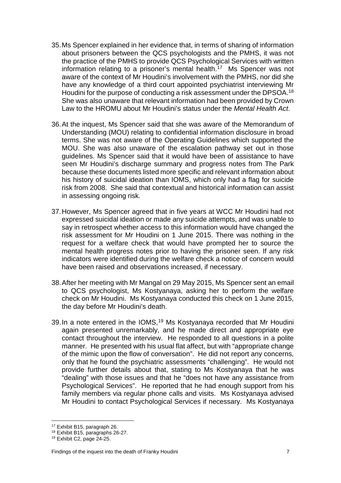- 35.Ms Spencer explained in her evidence that, in terms of sharing of information about prisoners between the QCS psychologists and the PMHS, it was not the practice of the PMHS to provide QCS Psychological Services with written information relating to a prisoner's mental health.<sup>17</sup> Ms Spencer was not aware of the context of Mr Houdini's involvement with the PMHS, nor did she have any knowledge of a third court appointed psychiatrist interviewing Mr Houdini for the purpose of conducting a risk assessment under the DPSOA. [18](#page-8-1) She was also unaware that relevant information had been provided by Crown Law to the HROMU about Mr Houdini's status under the *Mental Health Act*.
- 36.At the inquest, Ms Spencer said that she was aware of the Memorandum of Understanding (MOU) relating to confidential information disclosure in broad terms. She was not aware of the Operating Guidelines which supported the MOU. She was also unaware of the escalation pathway set out in those guidelines. Ms Spencer said that it would have been of assistance to have seen Mr Houdini's discharge summary and progress notes from The Park because these documents listed more specific and relevant information about his history of suicidal ideation than IOMS, which only had a flag for suicide risk from 2008. She said that contextual and historical information can assist in assessing ongoing risk.
- 37.However, Ms Spencer agreed that in five years at WCC Mr Houdini had not expressed suicidal ideation or made any suicide attempts, and was unable to say in retrospect whether access to this information would have changed the risk assessment for Mr Houdini on 1 June 2015. There was nothing in the request for a welfare check that would have prompted her to source the mental health progress notes prior to having the prisoner seen. If any risk indicators were identified during the welfare check a notice of concern would have been raised and observations increased, if necessary.
- 38.After her meeting with Mr Mangal on 29 May 2015, Ms Spencer sent an email to QCS psychologist, Ms Kostyanaya, asking her to perform the welfare check on Mr Houdini. Ms Kostyanaya conducted this check on 1 June 2015, the day before Mr Houdini's death.
- 39. In a note entered in the IOMS,<sup>[19](#page-8-2)</sup> Ms Kostyanaya recorded that Mr Houdini again presented unremarkably, and he made direct and appropriate eye contact throughout the interview. He responded to all questions in a polite manner. He presented with his usual flat affect, but with "appropriate change of the mimic upon the flow of conversation". He did not report any concerns, only that he found the psychiatric assessments "challenging". He would not provide further details about that, stating to Ms Kostyanaya that he was "dealing" with those issues and that he "does not have any assistance from Psychological Services". He reported that he had enough support from his family members via regular phone calls and visits. Ms Kostyanaya advised Mr Houdini to contact Psychological Services if necessary. Ms Kostyanaya

<sup>17</sup> Exhibit B15, paragraph 26.

<span id="page-8-1"></span><span id="page-8-0"></span><sup>18</sup> Exhibit B15, paragraphs 26-27.

<span id="page-8-2"></span><sup>19</sup> Exhibit C2, page 24-25.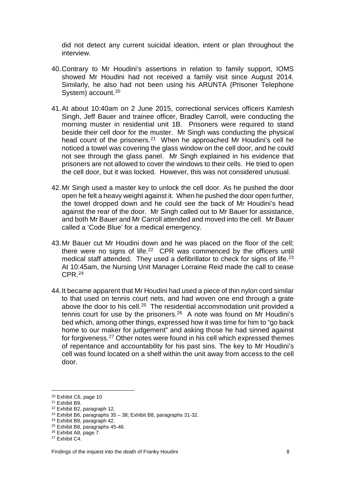did not detect any current suicidal ideation, intent or plan throughout the interview.

- 40.Contrary to Mr Houdini's assertions in relation to family support, IOMS showed Mr Houdini had not received a family visit since August 2014. Similarly, he also had not been using his ARUNTA (Prisoner Telephone System) account. [20](#page-9-0)
- 41.At about 10:40am on 2 June 2015, correctional services officers Kamlesh Singh, Jeff Bauer and trainee officer, Bradley Carroll, were conducting the morning muster in residential unit 1B. Prisoners were required to stand beside their cell door for the muster. Mr Singh was conducting the physical head count of the prisoners.<sup>21</sup> When he approached Mr Houdini's cell he noticed a towel was covering the glass window on the cell door, and he could not see through the glass panel. Mr Singh explained in his evidence that prisoners are not allowed to cover the windows to their cells. He tried to open the cell door, but it was locked. However, this was not considered unusual.
- 42.Mr Singh used a master key to unlock the cell door. As he pushed the door open he felt a heavy weight against it. When he pushed the door open further, the towel dropped down and he could see the back of Mr Houdini's head against the rear of the door. Mr Singh called out to Mr Bauer for assistance, and both Mr Bauer and Mr Carroll attended and moved into the cell. Mr Bauer called a 'Code Blue' for a medical emergency.
- 43.Mr Bauer cut Mr Houdini down and he was placed on the floor of the cell; there were no signs of life.<sup>[22](#page-9-2)</sup> CPR was commenced by the officers until medical staff attended. They used a defibrillator to check for signs of life.<sup>23</sup> At 10:45am, the Nursing Unit Manager Lorraine Reid made the call to cease  $CPR.^{24}$  $CPR.^{24}$  $CPR.^{24}$
- 44.It became apparent that Mr Houdini had used a piece of thin nylon cord similar to that used on tennis court nets, and had woven one end through a grate above the door to his cell.<sup>[25](#page-9-5)</sup> The residential accommodation unit provided a tennis court for use by the prisoners.<sup>26</sup> A note was found on Mr Houdini's bed which, among other things, expressed how it was time for him to "go back home to our maker for judgement" and asking those he had sinned against for forgiveness.[27](#page-9-7) Other notes were found in his cell which expressed themes of repentance and accountability for his past sins. The key to Mr Houdini's cell was found located on a shelf within the unit away from access to the cell door.

<sup>&</sup>lt;sup>20</sup> Exhibit C6, page 10 i<br>I

<span id="page-9-1"></span><span id="page-9-0"></span><sup>21</sup> Exhibit B9.

<span id="page-9-2"></span><sup>22</sup> Exhibit B2, paragraph 12.

<span id="page-9-3"></span> $23$  Exhibit B6, paragraphs 35 – 38; Exhibit B8, paragraphs 31-32.

<span id="page-9-4"></span><sup>24</sup> Exhibit B8, paragraph 42.

<span id="page-9-5"></span><sup>25</sup> Exhibit B8, paragraphs 45-46.

<span id="page-9-6"></span><sup>26</sup> Exhibit A8, page 7.

<span id="page-9-7"></span><sup>27</sup> Exhibit C4.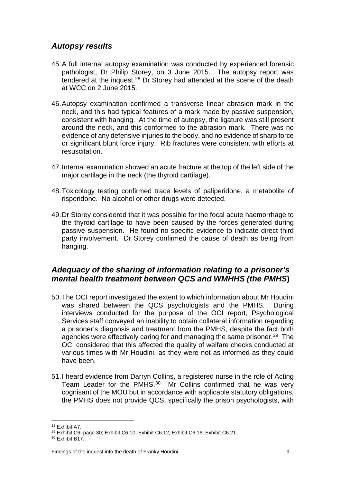#### <span id="page-10-0"></span>*Autopsy results*

- 45.A full internal autopsy examination was conducted by experienced forensic pathologist, Dr Philip Storey, on 3 June 2015. The autopsy report was tendered at the inquest.[28](#page-10-2) Dr Storey had attended at the scene of the death at WCC on 2 June 2015.
- 46.Autopsy examination confirmed a transverse linear abrasion mark in the neck, and this had typical features of a mark made by passive suspension, consistent with hanging. At the time of autopsy, the ligature was still present around the neck, and this conformed to the abrasion mark. There was no evidence of any defensive injuries to the body, and no evidence of sharp force or significant blunt force injury. Rib fractures were consistent with efforts at resuscitation.
- 47.Internal examination showed an acute fracture at the top of the left side of the major cartilage in the neck (the thyroid cartilage).
- 48.Toxicology testing confirmed trace levels of paliperidone, a metabolite of risperidone. No alcohol or other drugs were detected.
- 49.Dr Storey considered that it was possible for the focal acute haemorrhage to the thyroid cartilage to have been caused by the forces generated during passive suspension. He found no specific evidence to indicate direct third party involvement. Dr Storey confirmed the cause of death as being from hanging.

#### <span id="page-10-1"></span>*Adequacy of the sharing of information relating to a prisoner's mental health treatment between QCS and WMHHS (the PMHS***)**

- 50.The OCI report investigated the extent to which information about Mr Houdini was shared between the QCS psychologists and the PMHS. During interviews conducted for the purpose of the OCI report, Psychological Services staff conveyed an inability to obtain collateral information regarding a prisoner's diagnosis and treatment from the PMHS, despite the fact both agencies were effectively caring for and managing the same prisoner.<sup>29</sup> The OCI considered that this affected the quality of welfare checks conducted at various times with Mr Houdini, as they were not as informed as they could have been.
- 51.I heard evidence from Darryn Collins, a registered nurse in the role of Acting Team Leader for the PMHS.<sup>[30](#page-10-4)</sup> Mr Collins confirmed that he was very cognisant of the MOU but in accordance with applicable statutory obligations, the PMHS does not provide QCS, specifically the prison psychologists, with

<sup>28</sup> Exhibit A7.

<span id="page-10-3"></span><span id="page-10-2"></span><sup>29</sup> Exhibit C6, page 30; Exhibit C6.10; Exhibit C6.12; Exhibit C6.16; Exhibit C6.21.

<span id="page-10-4"></span><sup>&</sup>lt;sup>30</sup> Exhibit B17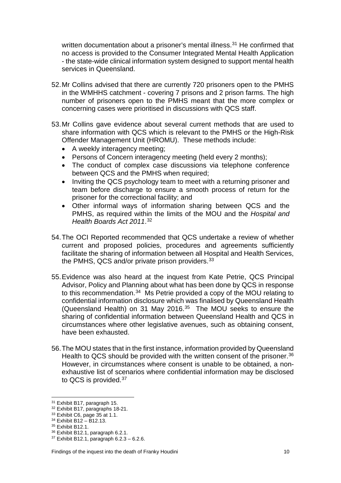written documentation about a prisoner's mental illness.<sup>[31](#page-11-0)</sup> He confirmed that no access is provided to the Consumer Integrated Mental Health Application - the state-wide clinical information system designed to support mental health services in Queensland.

- 52.Mr Collins advised that there are currently 720 prisoners open to the PMHS in the WMHHS catchment - covering 7 prisons and 2 prison farms. The high number of prisoners open to the PMHS meant that the more complex or concerning cases were prioritised in discussions with QCS staff.
- 53.Mr Collins gave evidence about several current methods that are used to share information with QCS which is relevant to the PMHS or the High-Risk Offender Management Unit (HROMU). These methods include:
	- A weekly interagency meeting;
	- Persons of Concern interagency meeting (held every 2 months);
	- The conduct of complex case discussions via telephone conference between QCS and the PMHS when required;
	- Inviting the QCS psychology team to meet with a returning prisoner and team before discharge to ensure a smooth process of return for the prisoner for the correctional facility; and
	- Other informal ways of information sharing between QCS and the PMHS, as required within the limits of the MOU and the *Hospital and Health Boards Act 2011*. [32](#page-11-1)
- 54.The OCI Reported recommended that QCS undertake a review of whether current and proposed policies, procedures and agreements sufficiently facilitate the sharing of information between all Hospital and Health Services, the PMHS, QCS and/or private prison providers.<sup>[33](#page-11-2)</sup>
- 55.Evidence was also heard at the inquest from Kate Petrie, QCS Principal Advisor, Policy and Planning about what has been done by QCS in response to this recommendation.[34](#page-11-3) Ms Petrie provided a copy of the MOU relating to confidential information disclosure which was finalised by Queensland Health (Queensland Health) on 31 May 2016.[35](#page-11-4) The MOU seeks to ensure the sharing of confidential information between Queensland Health and QCS in circumstances where other legislative avenues, such as obtaining consent, have been exhausted.
- 56.The MOU states that in the first instance, information provided by Queensland Health to QCS should be provided with the written consent of the prisoner.<sup>36</sup> However, in circumstances where consent is unable to be obtained, a nonexhaustive list of scenarios where confidential information may be disclosed to QCS is provided[.37](#page-11-6)

<sup>31</sup> Exhibit B17, paragraph 15.  $\overline{a}$ 

<span id="page-11-1"></span><span id="page-11-0"></span><sup>&</sup>lt;sup>32</sup> Exhibit B17, paragraphs 18-21. <sup>33</sup> Exhibit C6, page 35 at 1.1.

<span id="page-11-2"></span><sup>34</sup> Exhibit B12 – B12.13.

<span id="page-11-4"></span><span id="page-11-3"></span><sup>35</sup> Exhibit B12.1.

<span id="page-11-5"></span><sup>36</sup> Exhibit B12.1, paragraph 6.2.1.

<span id="page-11-6"></span><sup>37</sup> Exhibit B12.1, paragraph 6.2.3 – 6.2.6.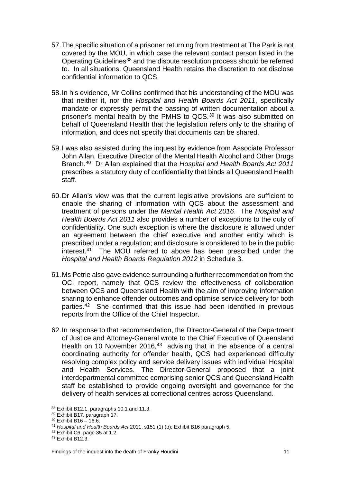- 57.The specific situation of a prisoner returning from treatment at The Park is not covered by the MOU, in which case the relevant contact person listed in the Operating Guidelines<sup>[38](#page-12-0)</sup> and the dispute resolution process should be referred to. In all situations, Queensland Health retains the discretion to not disclose confidential information to QCS.
- 58.In his evidence, Mr Collins confirmed that his understanding of the MOU was that neither it, nor the *Hospital and Health Boards Act 2011*, specifically mandate or expressly permit the passing of written documentation about a prisoner's mental health by the PMHS to QCS.<sup>[39](#page-12-1)</sup> It was also submitted on behalf of Queensland Health that the legislation refers only to the sharing of information, and does not specify that documents can be shared.
- 59.I was also assisted during the inquest by evidence from Associate Professor John Allan, Executive Director of the Mental Health Alcohol and Other Drugs Branch.[40](#page-12-2) Dr Allan explained that the *Hospital and Health Boards Act 2011*  prescribes a statutory duty of confidentiality that binds all Queensland Health staff.
- 60.Dr Allan's view was that the current legislative provisions are sufficient to enable the sharing of information with QCS about the assessment and treatment of persons under the *Mental Health Act 2016*. The *Hospital and Health Boards Act 2011* also provides a number of exceptions to the duty of confidentiality. One such exception is where the disclosure is allowed under an agreement between the chief executive and another entity which is prescribed under a regulation; and disclosure is considered to be in the public interest.[41](#page-12-3) The MOU referred to above has been prescribed under the *Hospital and Health Boards Regulation 2012* in Schedule 3.
- 61.Ms Petrie also gave evidence surrounding a further recommendation from the OCI report, namely that QCS review the effectiveness of collaboration between QCS and Queensland Health with the aim of improving information sharing to enhance offender outcomes and optimise service delivery for both parties.[42](#page-12-4) She confirmed that this issue had been identified in previous reports from the Office of the Chief Inspector.
- 62.In response to that recommendation, the Director-General of the Department of Justice and Attorney-General wrote to the Chief Executive of Queensland Health on 10 November 2016,<sup>43</sup> advising that in the absence of a central coordinating authority for offender health, QCS had experienced difficulty resolving complex policy and service delivery issues with individual Hospital and Health Services. The Director-General proposed that a joint interdepartmental committee comprising senior QCS and Queensland Health staff be established to provide ongoing oversight and governance for the delivery of health services at correctional centres across Queensland.

<sup>38</sup> Exhibit B12.1, paragraphs 10.1 and 11.3.

<span id="page-12-1"></span><span id="page-12-0"></span><sup>39</sup> Exhibit B17, paragraph 17.

<span id="page-12-2"></span><sup>40</sup> Exhibit B16 – 16.6.

<span id="page-12-3"></span><sup>41</sup> *Hospital and Health Boards Act* 2011, s151 (1) (b); Exhibit B16 paragraph 5.

<span id="page-12-4"></span><sup>42</sup> Exhibit C6, page 35 at 1.2.

<span id="page-12-5"></span><sup>43</sup> Exhibit B12.3.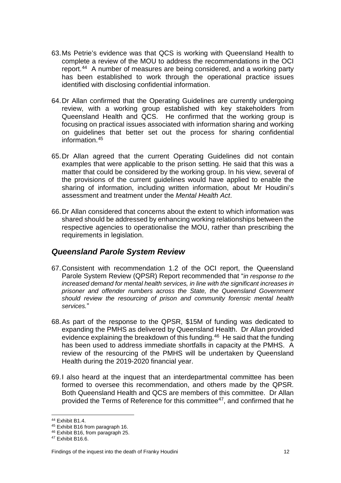- 63.Ms Petrie's evidence was that QCS is working with Queensland Health to complete a review of the MOU to address the recommendations in the OCI report. [44](#page-13-0) A number of measures are being considered, and a working party has been established to work through the operational practice issues identified with disclosing confidential information.
- 64.Dr Allan confirmed that the Operating Guidelines are currently undergoing review, with a working group established with key stakeholders from Queensland Health and QCS. He confirmed that the working group is focusing on practical issues associated with information sharing and working on guidelines that better set out the process for sharing confidential information.[45](#page-13-1)
- 65.Dr Allan agreed that the current Operating Guidelines did not contain examples that were applicable to the prison setting. He said that this was a matter that could be considered by the working group. In his view, several of the provisions of the current guidelines would have applied to enable the sharing of information, including written information, about Mr Houdini's assessment and treatment under the *Mental Health Act*.
- 66.Dr Allan considered that concerns about the extent to which information was shared should be addressed by enhancing working relationships between the respective agencies to operationalise the MOU, rather than prescribing the requirements in legislation.

#### *Queensland Parole System Review*

- 67.Consistent with recommendation 1.2 of the OCI report, the Queensland Parole System Review (QPSR) Report recommended that "*in response to the increased demand for mental health services, in line with the significant increases in prisoner and offender numbers across the State, the Queensland Government should review the resourcing of prison and community forensic mental health services.*"
- 68.As part of the response to the QPSR, \$15M of funding was dedicated to expanding the PMHS as delivered by Queensland Health. Dr Allan provided evidence explaining the breakdown of this funding. [46](#page-13-2) He said that the funding has been used to address immediate shortfalls in capacity at the PMHS. A review of the resourcing of the PMHS will be undertaken by Queensland Health during the 2019-2020 financial year.
- 69.I also heard at the inquest that an interdepartmental committee has been formed to oversee this recommendation, and others made by the QPSR. Both Queensland Health and QCS are members of this committee. Dr Allan provided the Terms of Reference for this committee<sup>[47](#page-13-3)</sup>, and confirmed that he

<sup>44</sup> Exhibit B1.4.  $\overline{\phantom{a}}$ 

<span id="page-13-1"></span><span id="page-13-0"></span><sup>45</sup> Exhibit B16 from paragraph 16.

<span id="page-13-2"></span><sup>46</sup> Exhibit B16, from paragraph 25.

<span id="page-13-3"></span><sup>47</sup> Exhibit B16.6.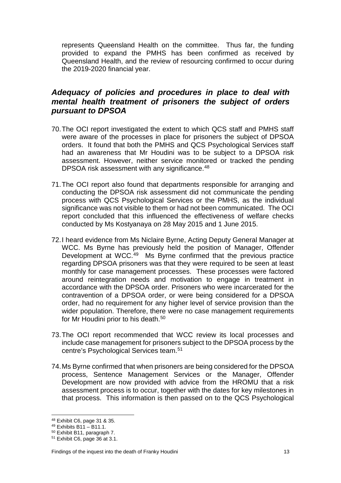represents Queensland Health on the committee. Thus far, the funding provided to expand the PMHS has been confirmed as received by Queensland Health, and the review of resourcing confirmed to occur during the 2019-2020 financial year.

#### <span id="page-14-0"></span>*Adequacy of policies and procedures in place to deal with mental health treatment of prisoners the subject of orders pursuant to DPSOA*

- 70.The OCI report investigated the extent to which QCS staff and PMHS staff were aware of the processes in place for prisoners the subject of DPSOA orders. It found that both the PMHS and QCS Psychological Services staff had an awareness that Mr Houdini was to be subject to a DPSOA risk assessment. However, neither service monitored or tracked the pending DPSOA risk assessment with any significance.<sup>[48](#page-14-1)</sup>
- 71.The OCI report also found that departments responsible for arranging and conducting the DPSOA risk assessment did not communicate the pending process with QCS Psychological Services or the PMHS, as the individual significance was not visible to them or had not been communicated. The OCI report concluded that this influenced the effectiveness of welfare checks conducted by Ms Kostyanaya on 28 May 2015 and 1 June 2015.
- 72.I heard evidence from Ms Niclaire Byrne, Acting Deputy General Manager at WCC. Ms Byrne has previously held the position of Manager, Offender Development at WCC.<sup>49</sup> Ms Byrne confirmed that the previous practice regarding DPSOA prisoners was that they were required to be seen at least monthly for case management processes. These processes were factored around reintegration needs and motivation to engage in treatment in accordance with the DPSOA order. Prisoners who were incarcerated for the contravention of a DPSOA order, or were being considered for a DPSOA order, had no requirement for any higher level of service provision than the wider population. Therefore, there were no case management requirements for Mr Houdini prior to his death. [50](#page-14-3)
- 73.The OCI report recommended that WCC review its local processes and include case management for prisoners subject to the DPSOA process by the centre's Psychological Services team.[51](#page-14-4)
- 74.Ms Byrne confirmed that when prisoners are being considered for the DPSOA process, Sentence Management Services or the Manager, Offender Development are now provided with advice from the HROMU that a risk assessment process is to occur, together with the dates for key milestones in that process. This information is then passed on to the QCS Psychological

<sup>48</sup> Exhibit C6, page 31 & 35.  $\overline{\phantom{a}}$ 

<span id="page-14-2"></span><span id="page-14-1"></span><sup>49</sup> Exhibits B11 – B11.1.

<span id="page-14-3"></span><sup>50</sup> Exhibit B11, paragraph 7.

<span id="page-14-4"></span><sup>51</sup> Exhibit C6, page 36 at 3.1.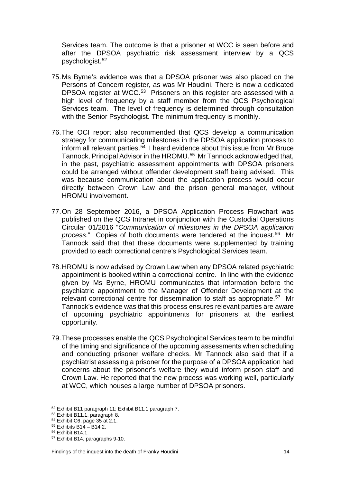Services team. The outcome is that a prisoner at WCC is seen before and after the DPSOA psychiatric risk assessment interview by a QCS psychologist.[52](#page-15-0) 

- 75.Ms Byrne's evidence was that a DPSOA prisoner was also placed on the Persons of Concern register, as was Mr Houdini. There is now a dedicated DPSOA register at WCC.<sup>[53](#page-15-1)</sup> Prisoners on this register are assessed with a high level of frequency by a staff member from the QCS Psychological Services team. The level of frequency is determined through consultation with the Senior Psychologist. The minimum frequency is monthly.
- 76.The OCI report also recommended that QCS develop a communication strategy for communicating milestones in the DPSOA application process to inform all relevant parties. $54$  I heard evidence about this issue from Mr Bruce Tannock, Principal Advisor in the HROMU.[55](#page-15-3) Mr Tannock acknowledged that, in the past, psychiatric assessment appointments with DPSOA prisoners could be arranged without offender development staff being advised. This was because communication about the application process would occur directly between Crown Law and the prison general manager, without HROMU involvement.
- 77.On 28 September 2016, a DPSOA Application Process Flowchart was published on the QCS Intranet in conjunction with the Custodial Operations Circular 01/2016 "*Communication of milestones in the DPSOA application process*." Copies of both documents were tendered at the inquest.[56](#page-15-4) Mr Tannock said that that these documents were supplemented by training provided to each correctional centre's Psychological Services team.
- 78.HROMU is now advised by Crown Law when any DPSOA related psychiatric appointment is booked within a correctional centre. In line with the evidence given by Ms Byrne, HROMU communicates that information before the psychiatric appointment to the Manager of Offender Development at the relevant correctional centre for dissemination to staff as appropriate.<sup>[57](#page-15-5)</sup> Mr Tannock's evidence was that this process ensures relevant parties are aware of upcoming psychiatric appointments for prisoners at the earliest opportunity.
- 79.These processes enable the QCS Psychological Services team to be mindful of the timing and significance of the upcoming assessments when scheduling and conducting prisoner welfare checks. Mr Tannock also said that if a psychiatrist assessing a prisoner for the purpose of a DPSOA application had concerns about the prisoner's welfare they would inform prison staff and Crown Law. He reported that the new process was working well, particularly at WCC, which houses a large number of DPSOA prisoners.

<sup>52</sup> Exhibit B11 paragraph 11; Exhibit B11.1 paragraph 7.

<span id="page-15-1"></span><span id="page-15-0"></span><sup>53</sup> Exhibit B11.1, paragraph 8.

<span id="page-15-2"></span><sup>54</sup> Exhibit C6, page 35 at 2.1.

<span id="page-15-3"></span><sup>55</sup> Exhibits B14 – B14.2.

<span id="page-15-4"></span><sup>56</sup> Exhibit B14.1.

<span id="page-15-5"></span><sup>57</sup> Exhibit B14, paragraphs 9-10.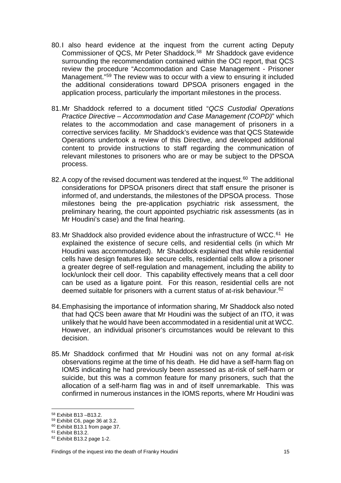- 80.I also heard evidence at the inquest from the current acting Deputy Commissioner of QCS, Mr Peter Shaddock.[58](#page-16-0) Mr Shaddock gave evidence surrounding the recommendation contained within the OCI report, that QCS review the procedure "Accommodation and Case Management - Prisoner Management."[59](#page-16-1) The review was to occur with a view to ensuring it included the additional considerations toward DPSOA prisoners engaged in the application process, particularly the important milestones in the process.
- 81.Mr Shaddock referred to a document titled "*QCS Custodial Operations Practice Directive – Accommodation and Case Management (COPD)*" which relates to the accommodation and case management of prisoners in a corrective services facility. Mr Shaddock's evidence was that QCS Statewide Operations undertook a review of this Directive, and developed additional content to provide instructions to staff regarding the communication of relevant milestones to prisoners who are or may be subject to the DPSOA process.
- 82. A copy of the revised document was tendered at the inquest.<sup>60</sup> The additional considerations for DPSOA prisoners direct that staff ensure the prisoner is informed of, and understands, the milestones of the DPSOA process. Those milestones being the pre-application psychiatric risk assessment, the preliminary hearing, the court appointed psychiatric risk assessments (as in Mr Houdini's case) and the final hearing.
- 83. Mr Shaddock also provided evidence about the infrastructure of WCC.<sup>[61](#page-16-3)</sup> He explained the existence of secure cells, and residential cells (in which Mr Houdini was accommodated). Mr Shaddock explained that while residential cells have design features like secure cells, residential cells allow a prisoner a greater degree of self-regulation and management, including the ability to lock/unlock their cell door. This capability effectively means that a cell door can be used as a ligature point. For this reason, residential cells are not deemed suitable for prisoners with a current status of at-risk behaviour.<sup>[62](#page-16-4)</sup>
- 84.Emphasising the importance of information sharing, Mr Shaddock also noted that had QCS been aware that Mr Houdini was the subject of an ITO, it was unlikely that he would have been accommodated in a residential unit at WCC. However, an individual prisoner's circumstances would be relevant to this decision.
- 85.Mr Shaddock confirmed that Mr Houdini was not on any formal at-risk observations regime at the time of his death. He did have a self-harm flag on IOMS indicating he had previously been assessed as at-risk of self-harm or suicide, but this was a common feature for many prisoners, such that the allocation of a self-harm flag was in and of itself unremarkable. This was confirmed in numerous instances in the IOMS reports, where Mr Houdini was

<sup>58</sup> Exhibit B13 –B13.2.

<span id="page-16-1"></span><span id="page-16-0"></span><sup>59</sup> Exhibit C6, page 36 at 3.2.

<span id="page-16-2"></span><sup>60</sup> Exhibit B13.1 from page 37.

<span id="page-16-3"></span><sup>61</sup> Exhibit B13.2.

<span id="page-16-4"></span><sup>62</sup> Exhibit B13.2 page 1-2.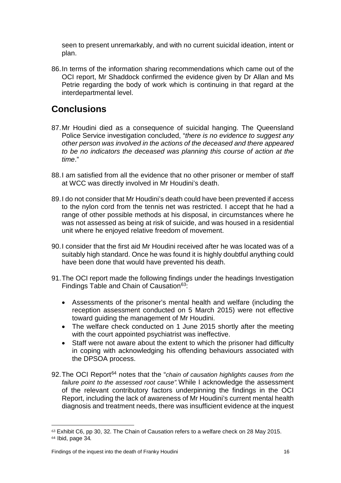seen to present unremarkably, and with no current suicidal ideation, intent or plan.

86.In terms of the information sharing recommendations which came out of the OCI report, Mr Shaddock confirmed the evidence given by Dr Allan and Ms Petrie regarding the body of work which is continuing in that regard at the interdepartmental level.

## <span id="page-17-0"></span>**Conclusions**

- 87.Mr Houdini died as a consequence of suicidal hanging. The Queensland Police Service investigation concluded, "*there is no evidence to suggest any other person was involved in the actions of the deceased and there appeared to be no indicators the deceased was planning this course of action at the time*."
- 88.I am satisfied from all the evidence that no other prisoner or member of staff at WCC was directly involved in Mr Houdini's death.
- 89.I do not consider that Mr Houdini's death could have been prevented if access to the nylon cord from the tennis net was restricted. I accept that he had a range of other possible methods at his disposal, in circumstances where he was not assessed as being at risk of suicide, and was housed in a residential unit where he enjoyed relative freedom of movement.
- 90.I consider that the first aid Mr Houdini received after he was located was of a suitably high standard. Once he was found it is highly doubtful anything could have been done that would have prevented his death.
- 91.The OCI report made the following findings under the headings Investigation Findings Table and Chain of Causation<sup>63</sup>:
	- Assessments of the prisoner's mental health and welfare (including the reception assessment conducted on 5 March 2015) were not effective toward guiding the management of Mr Houdini.
	- The welfare check conducted on 1 June 2015 shortly after the meeting with the court appointed psychiatrist was ineffective.
	- Staff were not aware about the extent to which the prisoner had difficulty in coping with acknowledging his offending behaviours associated with the DPSOA process.
- 92. The OCI Report<sup>64</sup> notes that the "*chain of causation highlights causes from the failure point to the assessed root cause".* While I acknowledge the assessment of the relevant contributory factors underpinning the findings in the OCI Report, including the lack of awareness of Mr Houdini's current mental health diagnosis and treatment needs, there was insufficient evidence at the inquest

<span id="page-17-2"></span><span id="page-17-1"></span> $63$  Exhibit C6, pp 30, 32. The Chain of Causation refers to a welfare check on 28 May 2015. <sup>64</sup> Ibid, page 34. i<br>I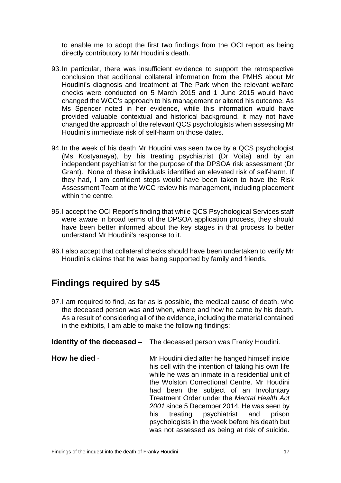to enable me to adopt the first two findings from the OCI report as being directly contributory to Mr Houdini's death.

- 93.In particular, there was insufficient evidence to support the retrospective conclusion that additional collateral information from the PMHS about Mr Houdini's diagnosis and treatment at The Park when the relevant welfare checks were conducted on 5 March 2015 and 1 June 2015 would have changed the WCC's approach to his management or altered his outcome. As Ms Spencer noted in her evidence, while this information would have provided valuable contextual and historical background, it may not have changed the approach of the relevant QCS psychologists when assessing Mr Houdini's immediate risk of self-harm on those dates.
- 94.In the week of his death Mr Houdini was seen twice by a QCS psychologist (Ms Kostyanaya), by his treating psychiatrist (Dr Voita) and by an independent psychiatrist for the purpose of the DPSOA risk assessment (Dr Grant). None of these individuals identified an elevated risk of self-harm. If they had, I am confident steps would have been taken to have the Risk Assessment Team at the WCC review his management, including placement within the centre.
- 95.I accept the OCI Report's finding that while QCS Psychological Services staff were aware in broad terms of the DPSOA application process, they should have been better informed about the key stages in that process to better understand Mr Houdini's response to it.
- 96.I also accept that collateral checks should have been undertaken to verify Mr Houdini's claims that he was being supported by family and friends.

### <span id="page-18-0"></span>**Findings required by s45**

- 97.I am required to find, as far as is possible, the medical cause of death, who the deceased person was and when, where and how he came by his death. As a result of considering all of the evidence, including the material contained in the exhibits, I am able to make the following findings:
- <span id="page-18-1"></span>**Identity of the deceased** – The deceased person was Franky Houdini.
- <span id="page-18-2"></span>**How he died** - Mr Houdini died after he hanged himself inside his cell with the intention of taking his own life while he was an inmate in a residential unit of the Wolston Correctional Centre. Mr Houdini had been the subject of an Involuntary Treatment Order under the *Mental Health Act 2001* since 5 December 2014*.* He was seen by his treating psychiatrist and prison psychologists in the week before his death but was not assessed as being at risk of suicide.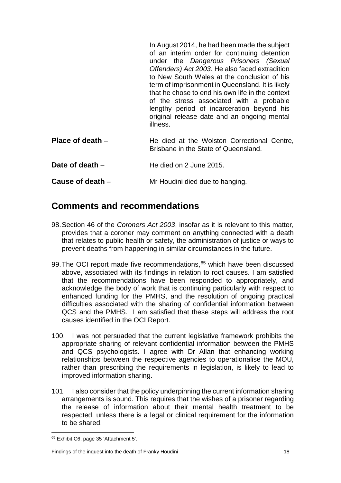In August 2014, he had been made the subject of an interim order for continuing detention under the *Dangerous Prisoners (Sexual Offenders) Act 2003*. He also faced extradition to New South Wales at the conclusion of his term of imprisonment in Queensland. It is likely that he chose to end his own life in the context of the stress associated with a probable lengthy period of incarceration beyond his original release date and an ongoing mental illness. **Place of death** – He died at the Wolston Correctional Centre, Brisbane in the State of Queensland.

<span id="page-19-1"></span><span id="page-19-0"></span>**Date of death** – **He died on 2 June 2015.** 

<span id="page-19-2"></span>**Cause of death** – Mr Houdini died due to hanging.

## <span id="page-19-3"></span>**Comments and recommendations**

- 98.Section 46 of the *Coroners Act 2003*, insofar as it is relevant to this matter, provides that a coroner may comment on anything connected with a death that relates to public health or safety, the administration of justice or ways to prevent deaths from happening in similar circumstances in the future.
- 99.The OCI report made five recommendations, [65](#page-19-4) which have been discussed above, associated with its findings in relation to root causes. I am satisfied that the recommendations have been responded to appropriately, and acknowledge the body of work that is continuing particularly with respect to enhanced funding for the PMHS, and the resolution of ongoing practical difficulties associated with the sharing of confidential information between QCS and the PMHS. I am satisfied that these steps will address the root causes identified in the OCI Report.
- 100. I was not persuaded that the current legislative framework prohibits the appropriate sharing of relevant confidential information between the PMHS and QCS psychologists. I agree with Dr Allan that enhancing working relationships between the respective agencies to operationalise the MOU, rather than prescribing the requirements in legislation, is likely to lead to improved information sharing.
- 101. I also consider that the policy underpinning the current information sharing arrangements is sound. This requires that the wishes of a prisoner regarding the release of information about their mental health treatment to be respected, unless there is a legal or clinical requirement for the information to be shared.

<span id="page-19-4"></span><sup>65</sup> Exhibit C6, page 35 'Attachment 5'.